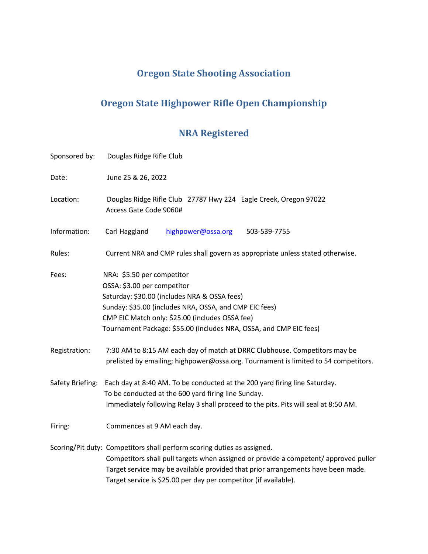# **Oregon State Shooting Association**

# **Oregon State Highpower Rifle Open Championship**

# **NRA Registered**

| Sponsored by:    | Douglas Ridge Rifle Club                                                                                                                                                                                                                                                                                                |  |  |
|------------------|-------------------------------------------------------------------------------------------------------------------------------------------------------------------------------------------------------------------------------------------------------------------------------------------------------------------------|--|--|
| Date:            | June 25 & 26, 2022                                                                                                                                                                                                                                                                                                      |  |  |
| Location:        | Douglas Ridge Rifle Club 27787 Hwy 224 Eagle Creek, Oregon 97022<br>Access Gate Code 9060#                                                                                                                                                                                                                              |  |  |
| Information:     | Carl Haggland<br>highpower@ossa.org<br>503-539-7755                                                                                                                                                                                                                                                                     |  |  |
| Rules:           | Current NRA and CMP rules shall govern as appropriate unless stated otherwise.                                                                                                                                                                                                                                          |  |  |
| Fees:            | NRA: \$5.50 per competitor<br>OSSA: \$3.00 per competitor<br>Saturday: \$30.00 (includes NRA & OSSA fees)<br>Sunday: \$35.00 (includes NRA, OSSA, and CMP EIC fees)<br>CMP EIC Match only: \$25.00 (includes OSSA fee)<br>Tournament Package: \$55.00 (includes NRA, OSSA, and CMP EIC fees)                            |  |  |
| Registration:    | 7:30 AM to 8:15 AM each day of match at DRRC Clubhouse. Competitors may be<br>prelisted by emailing; highpower@ossa.org. Tournament is limited to 54 competitors.                                                                                                                                                       |  |  |
| Safety Briefing: | Each day at 8:40 AM. To be conducted at the 200 yard firing line Saturday.<br>To be conducted at the 600 yard firing line Sunday.<br>Immediately following Relay 3 shall proceed to the pits. Pits will seal at 8:50 AM.                                                                                                |  |  |
| Firing:          | Commences at 9 AM each day.                                                                                                                                                                                                                                                                                             |  |  |
|                  | Scoring/Pit duty: Competitors shall perform scoring duties as assigned.<br>Competitors shall pull targets when assigned or provide a competent/ approved puller<br>Target service may be available provided that prior arrangements have been made.<br>Target service is \$25.00 per day per competitor (if available). |  |  |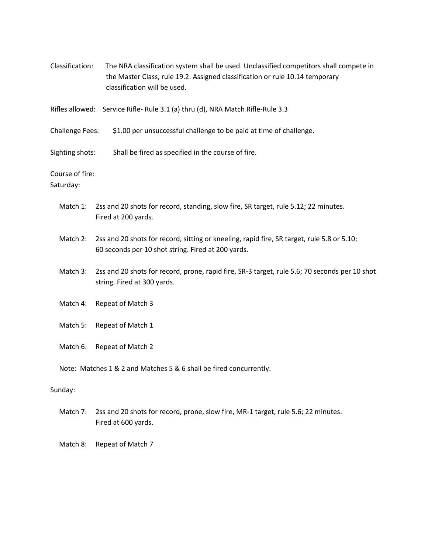| Classification:                                                                | The NRA classification system shall be used. Unclassified competitors shall compete in<br>the Master Class, rule 19.2. Assigned classification or rule 10.14 temporary<br>classification will be used. |  |  |  |
|--------------------------------------------------------------------------------|--------------------------------------------------------------------------------------------------------------------------------------------------------------------------------------------------------|--|--|--|
| Rifles allowed: Service Rifle- Rule 3.1 (a) thru (d), NRA Match Rifle-Rule 3.3 |                                                                                                                                                                                                        |  |  |  |
| <b>Challenge Fees:</b>                                                         | \$1.00 per unsuccessful challenge to be paid at time of challenge.                                                                                                                                     |  |  |  |
| Sighting shots:                                                                | Shall be fired as specified in the course of fire.                                                                                                                                                     |  |  |  |
| Course of fire:<br>Saturday:                                                   |                                                                                                                                                                                                        |  |  |  |
| Match 1:                                                                       | 2ss and 20 shots for record, standing, slow fire, SR target, rule 5.12; 22 minutes.<br>Fired at 200 yards.                                                                                             |  |  |  |
| Match 2:                                                                       | 2ss and 20 shots for record, sitting or kneeling, rapid fire, SR target, rule 5.8 or 5.10;<br>60 seconds per 10 shot string. Fired at 200 yards.                                                       |  |  |  |
| Match 3:                                                                       | 2ss and 20 shots for record, prone, rapid fire, SR-3 target, rule 5.6; 70 seconds per 10 shot<br>string. Fired at 300 yards.                                                                           |  |  |  |
| Match 4:                                                                       | Repeat of Match 3                                                                                                                                                                                      |  |  |  |
| Match 5:                                                                       | Repeat of Match 1                                                                                                                                                                                      |  |  |  |
| Match 6:                                                                       | Repeat of Match 2                                                                                                                                                                                      |  |  |  |
| Note: Matches 1 & 2 and Matches 5 & 6 shall be fired concurrently.             |                                                                                                                                                                                                        |  |  |  |
| Sunday:                                                                        |                                                                                                                                                                                                        |  |  |  |
| Match 7:                                                                       | 2ss and 20 shots for record, prone, slow fire, MR-1 target, rule 5.6; 22 minutes.<br>Fired at 600 yards.                                                                                               |  |  |  |

Match 8: Repeat of Match 7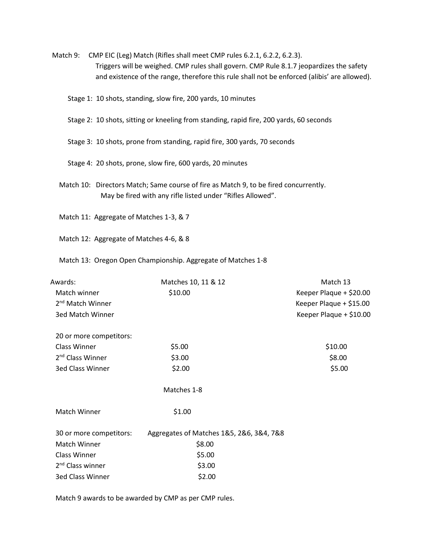- Match 9: CMP EIC (Leg) Match (Rifles shall meet CMP rules 6.2.1, 6.2.2, 6.2.3). Triggers will be weighed. CMP rules shall govern. CMP Rule 8.1.7 jeopardizes the safety and existence of the range, therefore this rule shall not be enforced (alibis' are allowed).
	- Stage 1: 10 shots, standing, slow fire, 200 yards, 10 minutes
	- Stage 2: 10 shots, sitting or kneeling from standing, rapid fire, 200 yards, 60 seconds
	- Stage 3: 10 shots, prone from standing, rapid fire, 300 yards, 70 seconds
	- Stage 4: 20 shots, prone, slow fire, 600 yards, 20 minutes
	- Match 10: Directors Match; Same course of fire as Match 9, to be fired concurrently. May be fired with any rifle listed under "Rifles Allowed".
	- Match 11: Aggregate of Matches 1-3, & 7
	- Match 12: Aggregate of Matches 4-6, & 8
	- Match 13: Oregon Open Championship. Aggregate of Matches 1-8

| Awards:                      | Matches 10, 11 & 12                      | Match 13                |
|------------------------------|------------------------------------------|-------------------------|
| Match winner                 | \$10.00                                  | Keeper Plaque + \$20.00 |
| 2 <sup>nd</sup> Match Winner |                                          | Keeper Plaque + \$15.00 |
| 3ed Match Winner             |                                          | Keeper Plaque + \$10.00 |
| 20 or more competitors:      |                                          |                         |
| Class Winner                 | \$5.00                                   | \$10.00                 |
| 2 <sup>nd</sup> Class Winner | \$3.00                                   | \$8.00                  |
| <b>3ed Class Winner</b>      | \$2.00                                   | \$5.00                  |
|                              | Matches 1-8                              |                         |
| Match Winner                 | \$1.00                                   |                         |
| 30 or more competitors:      | Aggregates of Matches 1&5, 2&6, 3&4, 7&8 |                         |
| Match Winner                 | \$8.00                                   |                         |
| <b>Class Winner</b>          | \$5.00                                   |                         |
| 2 <sup>nd</sup> Class winner | \$3.00                                   |                         |
| <b>3ed Class Winner</b>      | \$2.00                                   |                         |

Match 9 awards to be awarded by CMP as per CMP rules.